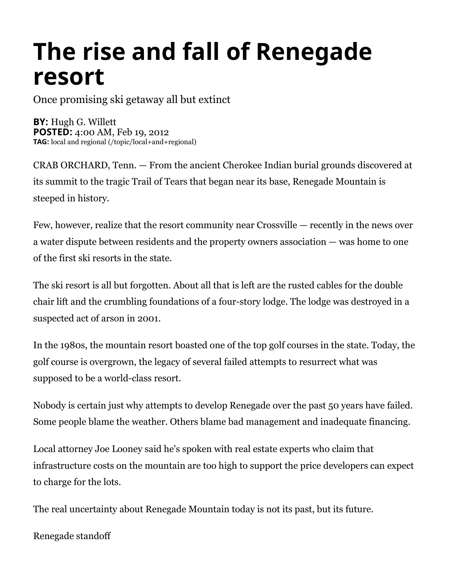## **The rise and fall of Renegade resort**

Once promising ski getaway all but extinct

**BY:** Hugh G. Willett **POSTED:** 4:00 AM, Feb 19, 2012 **TAG:\$**[local and regional \(/topic/local+and+regional\)](http://www.knoxnews.com/topic/local+and+regional)

CRAB ORCHARD, Tenn. — From the ancient Cherokee Indian burial grounds discovered at its summit to the tragic Trail of Tears that began near its base, Renegade Mountain is steeped in history.

Few, however, realize that the resort community near Crossville — recently in the news over a water dispute between residents and the property owners association — was home to one of the first ski resorts in the state.

The ski resort is all but forgotten. About all that is left are the rusted cables for the double chair lift and the crumbling foundations of a four-story lodge. The lodge was destroyed in a suspected act of arson in 2001.

In the 1980s, the mountain resort boasted one of the top golf courses in the state. Today, the golf course is overgrown, the legacy of several failed attempts to resurrect what was supposed to be a world-class resort.

Nobody is certain just why attempts to develop Renegade over the past 50 years have failed. Some people blame the weather. Others blame bad management and inadequate financing.

Local attorney Joe Looney said he's spoken with real estate experts who claim that infrastructure costs on the mountain are too high to support the price developers can expect to charge for the lots.

The real uncertainty about Renegade Mountain today is not its past, but its future.

Renegade standoff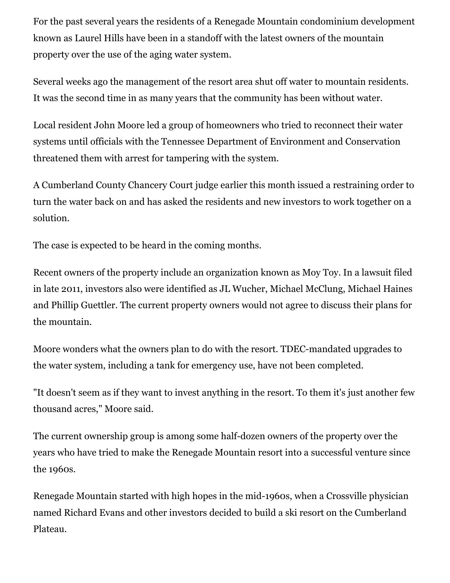For the past several years the residents of a Renegade Mountain condominium development known as Laurel Hills have been in a standoff with the latest owners of the mountain property over the use of the aging water system.

Several weeks ago the management of the resort area shut off water to mountain residents. It was the second time in as many years that the community has been without water.

Local resident John Moore led a group of homeowners who tried to reconnect their water systems until officials with the Tennessee Department of Environment and Conservation threatened them with arrest for tampering with the system.

A Cumberland County Chancery Court judge earlier this month issued a restraining order to turn the water back on and has asked the residents and new investors to work together on a solution.

The case is expected to be heard in the coming months.

Recent owners of the property include an organization known as Moy Toy. In a lawsuit filed in late 2011, investors also were identified as JL Wucher, Michael McClung, Michael Haines and Phillip Guettler. The current property owners would not agree to discuss their plans for the mountain.

Moore wonders what the owners plan to do with the resort. TDEC-mandated upgrades to the water system, including a tank for emergency use, have not been completed.

"It doesn't seem as if they want to invest anything in the resort. To them it's just another few thousand acres," Moore said.

The current ownership group is among some half-dozen owners of the property over the years who have tried to make the Renegade Mountain resort into a successful venture since the 1960s.

Renegade Mountain started with high hopes in the mid-1960s, when a Crossville physician named Richard Evans and other investors decided to build a ski resort on the Cumberland Plateau.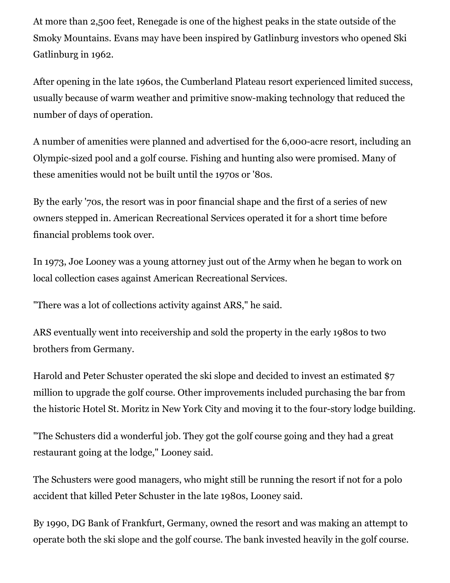At more than 2,500 feet, Renegade is one of the highest peaks in the state outside of the Smoky Mountains. Evans may have been inspired by Gatlinburg investors who opened Ski Gatlinburg in 1962.

After opening in the late 1960s, the Cumberland Plateau resort experienced limited success, usually because of warm weather and primitive snow-making technology that reduced the number of days of operation.

A number of amenities were planned and advertised for the 6,000-acre resort, including an Olympic-sized pool and a golf course. Fishing and hunting also were promised. Many of these amenities would not be built until the 1970s or '80s.

By the early '70s, the resort was in poor financial shape and the first of a series of new owners stepped in. American Recreational Services operated it for a short time before financial problems took over.

In 1973, Joe Looney was a young attorney just out of the Army when he began to work on local collection cases against American Recreational Services.

"There was a lot of collections activity against ARS," he said.

ARS eventually went into receivership and sold the property in the early 1980s to two brothers from Germany.

Harold and Peter Schuster operated the ski slope and decided to invest an estimated \$7 million to upgrade the golf course. Other improvements included purchasing the bar from the historic Hotel St. Moritz in New York City and moving it to the four-story lodge building.

"The Schusters did a wonderful job. They got the golf course going and they had a great restaurant going at the lodge," Looney said.

The Schusters were good managers, who might still be running the resort if not for a polo accident that killed Peter Schuster in the late 1980s, Looney said.

By 1990, DG Bank of Frankfurt, Germany, owned the resort and was making an attempt to operate both the ski slope and the golf course. The bank invested heavily in the golf course.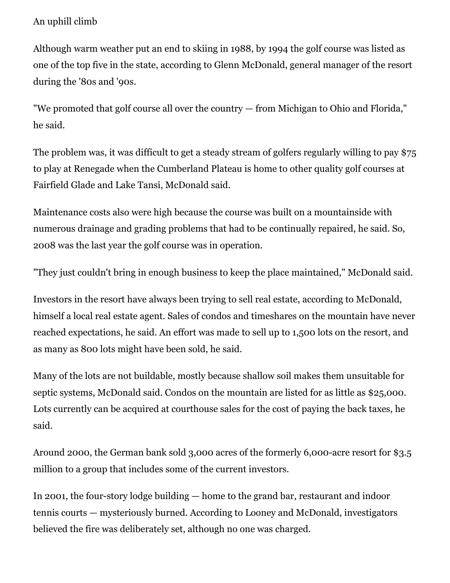## An uphill climb

Although warm weather put an end to skiing in 1988, by 1994 the golf course was listed as one of the top five in the state, according to Glenn McDonald, general manager of the resort during the '80s and '90s.

"We promoted that golf course all over the country — from Michigan to Ohio and Florida," he said.

The problem was, it was difficult to get a steady stream of golfers regularly willing to pay \$75 to play at Renegade when the Cumberland Plateau is home to other quality golf courses at Fairfield Glade and Lake Tansi, McDonald said.

Maintenance costs also were high because the course was built on a mountainside with numerous drainage and grading problems that had to be continually repaired, he said. So, 2008 was the last year the golf course was in operation.

"They just couldn't bring in enough business to keep the place maintained," McDonald said.

Investors in the resort have always been trying to sell real estate, according to McDonald, himself a local real estate agent. Sales of condos and timeshares on the mountain have never reached expectations, he said. An effort was made to sell up to 1,500 lots on the resort, and as many as 800 lots might have been sold, he said.

Many of the lots are not buildable, mostly because shallow soil makes them unsuitable for septic systems, McDonald said. Condos on the mountain are listed for as little as \$25,000. Lots currently can be acquired at courthouse sales for the cost of paying the back taxes, he said.

Around 2000, the German bank sold 3,000 acres of the formerly 6,000-acre resort for \$3.5 million to a group that includes some of the current investors.

In 2001, the four-story lodge building — home to the grand bar, restaurant and indoor tennis courts — mysteriously burned. According to Looney and McDonald, investigators believed the fire was deliberately set, although no one was charged.